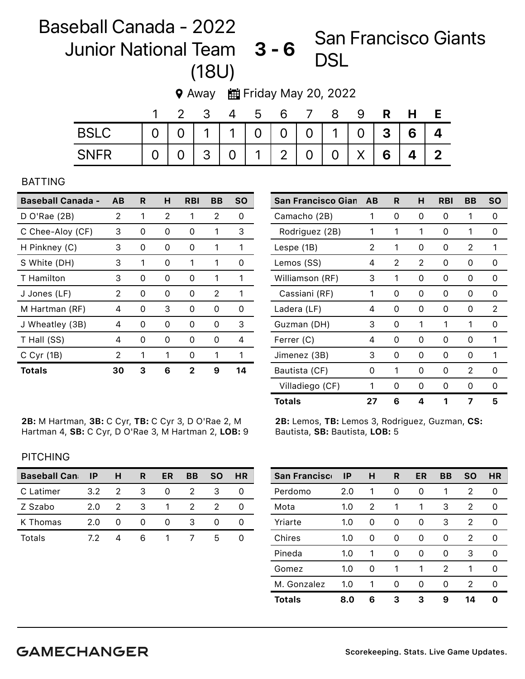## Baseball Canada - 2022 Junior National Team 3 - 6 (18U) San Francisco Giants

**9** Away 由Friday May 20, 2022

|             |                | -4 | 5 | 6 |                                   | 8 | 9 |   | H.                |                         |
|-------------|----------------|----|---|---|-----------------------------------|---|---|---|-------------------|-------------------------|
| <b>BSLC</b> |                |    |   |   | 0   1   1   0   0   0   1   0   3 |   |   |   | 6 <sup>1</sup>    |                         |
| <b>SNFR</b> | $\overline{O}$ |    |   |   | 3   0   1   2   0   0             |   | X | 6 | $\mathbf{\Delta}$ | $\overline{\mathbf{z}}$ |

## BATTING

| <b>Baseball Canada - AB</b> |    | R | н | <b>RBI</b> | ВB | <b>SO</b> |
|-----------------------------|----|---|---|------------|----|-----------|
| $D$ O'Rae (2B)              | 2  | 1 | 2 | 1          | 2  | 0         |
| C Chee-Aloy (CF)            | 3  | 0 | 0 | 0          | 1  | 3         |
| H Pinkney (C)               | 3  | 0 | 0 | 0          | 1  | 1         |
| S White (DH)                | 3  | 1 | Ω | 1          | 1  | 0         |
| T Hamilton                  | 3  | 0 | Ω | Ω          | 1  | 1         |
| J Jones (LF)                | 2  | 0 | Ω | 0          | 2  | 1         |
| M Hartman (RF)              | 4  | 0 | 3 | 0          | 0  | 0         |
| J Wheatley (3B)             | 4  | 0 | 0 | 0          | O  | З         |
| T Hall (SS)                 | 4  | 0 | Ω | Ω          | O  | 4         |
| $C$ Cyr (1B)                | 2  | 1 | 1 | U          |    | 1         |
| <b>Totals</b>               | 30 | 3 | 6 | 2          | 9  | 14        |

2B: M Hartman, 3B: C Cyr, TB: C Cyr 3, D O'Rae 2, M Hartman 4, SB: C Cyr, D O'Rae 3, M Hartman 2, LOB: 9

| <b>San Francisco Gian</b> | AB | R | н | <b>RBI</b> | BB | SΟ |
|---------------------------|----|---|---|------------|----|----|
| Camacho (2B)              | 1  | 0 | 0 | 0          | 1  | Ω  |
| Rodriguez (2B)            | 1  | 1 | 1 | 0          | 1  | Ω  |
| Lespe (1B)                | 2  | 1 | 0 | 0          | 2  | 1  |
| Lemos (SS)                | 4  | 2 | 2 | 0          | 0  | Ω  |
| Williamson (RF)           | 3  | 1 | 0 | 0          | 0  | 0  |
| Cassiani (RF)             | 1  | 0 | 0 | 0          | 0  | 0  |
| Ladera (LF)               | 4  | 0 | 0 | 0          | 0  | 2  |
| Guzman (DH)               | 3  | 0 | 1 | 1          | 1  | O  |
| Ferrer (C)                | 4  | 0 | 0 | 0          | 0  | 1  |
| Jimenez (3B)              | 3  | 0 | 0 | 0          | 0  | 1  |
| Bautista (CF)             | 0  | 1 | 0 | 0          | 2  | Ω  |
| Villadiego (CF)           | 1  | 0 | O | 0          | 0  | 0  |
| <b>Totals</b>             | 27 | 6 | 4 | 1          | 7  | 5  |

2B: Lemos, TB: Lemos 3, Rodriguez, Guzman, CS: Bautista, SB: Bautista, LOB: 5

## PITCHING

| <b>Baseball Can</b> | IP  | н | R | ER | BВ | <b>SO</b> | HR |
|---------------------|-----|---|---|----|----|-----------|----|
| C Latimer           | 3.2 |   | З |    |    |           |    |
| Z Szabo             | 2.0 |   | 3 |    |    |           |    |
| K Thomas            | 2.0 |   |   |    |    |           |    |
| Totals              |     |   | ห |    |    | h         |    |

| <b>San Francisco</b> | <b>IP</b> | н | R | ER | BB | SΟ | HR |
|----------------------|-----------|---|---|----|----|----|----|
| Perdomo              | 2.0       | 1 | 0 | 0  | 1  | 2  | Ω  |
| Mota                 | 1.0       | 2 | 1 | 1  | 3  | 2  | O  |
| Yriarte              | 1.0       | 0 | 0 | 0  | 3  | 2  |    |
| Chires               | 1.0       | 0 | 0 | 0  | 0  | 2  |    |
| Pineda               | 1.0       | 1 | 0 | 0  | 0  | 3  |    |
| Gomez                | 1.0       | 0 | 1 | 1  | 2  | 1  |    |
| M. Gonzalez          | 1.0       | 1 | 0 | 0  | O  | 2  | O  |
| <b>Totals</b>        | 8.0       | 6 | З | З  | 9  | 14 |    |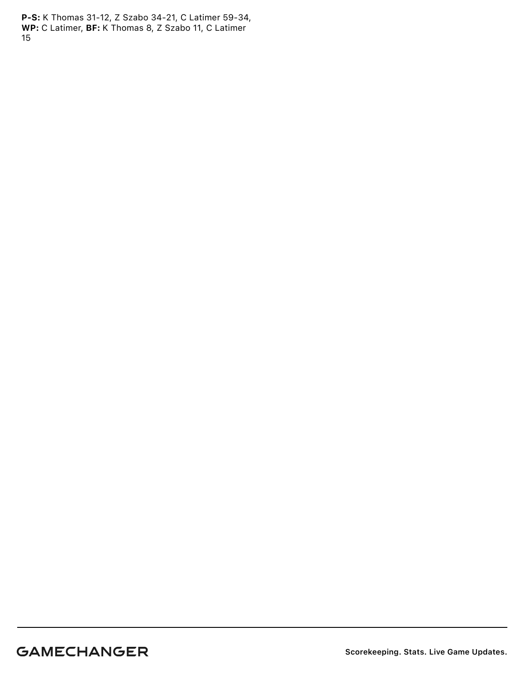P-S: K Thomas 31-12, Z Szabo 34-21, C Latimer 59-34, WP: C Latimer, BF: K Thomas 8, Z Szabo 11, C Latimer 15